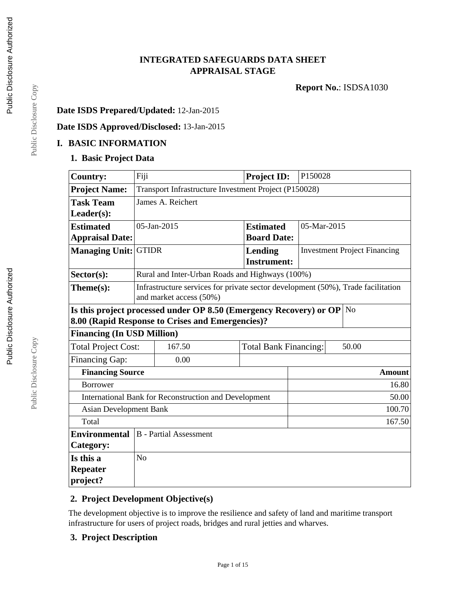# **INTEGRATED SAFEGUARDS DATA SHEET APPRAISAL STAGE**

**Report No.**: ISDSA1030

## **Date ISDS Prepared/Updated:** 12-Jan-2015

# **Date ISDS Approved/Disclosed:** 13-Jan-2015

#### **I. BASIC INFORMATION**

#### **1. Basic Project Data**

| <b>Country:</b>                                                                      | Fiji                                                                                                        |                                                       |  | <b>Project ID:</b>            | P150028                             |               |
|--------------------------------------------------------------------------------------|-------------------------------------------------------------------------------------------------------------|-------------------------------------------------------|--|-------------------------------|-------------------------------------|---------------|
| <b>Project Name:</b>                                                                 |                                                                                                             | Transport Infrastructure Investment Project (P150028) |  |                               |                                     |               |
| <b>Task Team</b>                                                                     |                                                                                                             | James A. Reichert                                     |  |                               |                                     |               |
| $Leader(s)$ :                                                                        |                                                                                                             |                                                       |  |                               |                                     |               |
| <b>Estimated</b>                                                                     |                                                                                                             | 05-Jan-2015                                           |  | <b>Estimated</b>              | 05-Mar-2015                         |               |
| <b>Appraisal Date:</b>                                                               |                                                                                                             |                                                       |  | <b>Board Date:</b>            |                                     |               |
| <b>Managing Unit:</b>                                                                | <b>GTIDR</b>                                                                                                |                                                       |  | Lending<br><b>Instrument:</b> | <b>Investment Project Financing</b> |               |
| Sector(s):                                                                           |                                                                                                             | Rural and Inter-Urban Roads and Highways (100%)       |  |                               |                                     |               |
| Theme(s):                                                                            | Infrastructure services for private sector development (50%), Trade facilitation<br>and market access (50%) |                                                       |  |                               |                                     |               |
| Is this project processed under OP 8.50 (Emergency Recovery) or OP<br>N <sub>o</sub> |                                                                                                             |                                                       |  |                               |                                     |               |
|                                                                                      | 8.00 (Rapid Response to Crises and Emergencies)?                                                            |                                                       |  |                               |                                     |               |
| <b>Financing (In USD Million)</b>                                                    |                                                                                                             |                                                       |  |                               |                                     |               |
| <b>Total Project Cost:</b>                                                           |                                                                                                             | 167.50                                                |  | <b>Total Bank Financing:</b>  |                                     | 50.00         |
| <b>Financing Gap:</b>                                                                |                                                                                                             | 0.00                                                  |  |                               |                                     |               |
| <b>Financing Source</b>                                                              |                                                                                                             |                                                       |  |                               |                                     | <b>Amount</b> |
| <b>Borrower</b>                                                                      |                                                                                                             |                                                       |  |                               |                                     | 16.80         |
|                                                                                      | International Bank for Reconstruction and Development                                                       |                                                       |  |                               | 50.00                               |               |
|                                                                                      | 100.70<br><b>Asian Development Bank</b>                                                                     |                                                       |  |                               |                                     |               |
| Total<br>167.50                                                                      |                                                                                                             |                                                       |  |                               |                                     |               |
| <b>Environmental</b>                                                                 |                                                                                                             | <b>B</b> - Partial Assessment                         |  |                               |                                     |               |
| Category:                                                                            |                                                                                                             |                                                       |  |                               |                                     |               |
| Is this a                                                                            | N <sub>o</sub>                                                                                              |                                                       |  |                               |                                     |               |
| <b>Repeater</b><br>project?                                                          |                                                                                                             |                                                       |  |                               |                                     |               |

## **2. Project Development Objective(s)**

The development objective is to improve the resilience and safety of land and maritime transport infrastructure for users of project roads, bridges and rural jetties and wharves.

Page 1 of 15

## **3. Project Description**

Public Disclosure Copy Public Disclosure Copy

Public Disclosure Copy

Public Disclosure Copy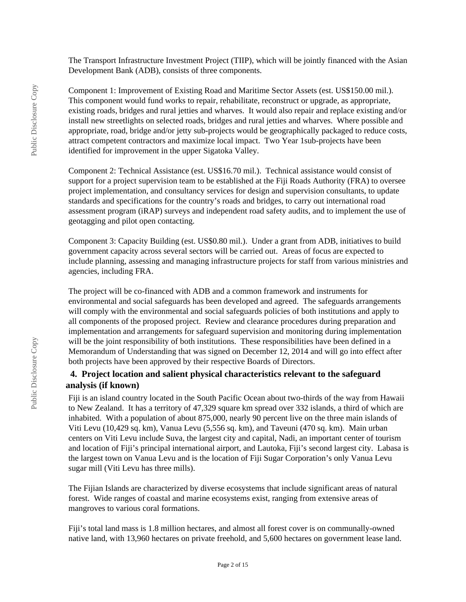The Transport Infrastructure Investment Project (TIIP), which will be jointly financed with the Asian Development Bank (ADB), consists of three components.

Component 1: Improvement of Existing Road and Maritime Sector Assets (est. US\$150.00 mil.). This component would fund works to repair, rehabilitate, reconstruct or upgrade, as appropriate, existing roads, bridges and rural jetties and wharves. It would also repair and replace existing and/or install new streetlights on selected roads, bridges and rural jetties and wharves. Where possible and appropriate, road, bridge and/or jetty sub-projects would be geographically packaged to reduce costs, attract competent contractors and maximize local impact. Two Year 1sub-projects have been identified for improvement in the upper Sigatoka Valley.

Component 2: Technical Assistance (est. US\$16.70 mil.). Technical assistance would consist of support for a project supervision team to be established at the Fiji Roads Authority (FRA) to oversee project implementation, and consultancy services for design and supervision consultants, to update standards and specifications for the country's roads and bridges, to carry out international road assessment program (iRAP) surveys and independent road safety audits, and to implement the use of geotagging and pilot open contacting.

Component 3: Capacity Building (est. US\$0.80 mil.). Under a grant from ADB, initiatives to build government capacity across several sectors will be carried out. Areas of focus are expected to include planning, assessing and managing infrastructure projects for staff from various ministries and agencies, including FRA.

The project will be co-financed with ADB and a common framework and instruments for environmental and social safeguards has been developed and agreed. The safeguards arrangements will comply with the environmental and social safeguards policies of both institutions and apply to all components of the proposed project. Review and clearance procedures during preparation and implementation and arrangements for safeguard supervision and monitoring during implementation will be the joint responsibility of both institutions. These responsibilities have been defined in a Memorandum of Understanding that was signed on December 12, 2014 and will go into effect after both projects have been approved by their respective Boards of Directors.

### **4. Project location and salient physical characteristics relevant to the safeguard analysis (if known)**

Fiji is an island country located in the South Pacific Ocean about two-thirds of the way from Hawaii to New Zealand. It has a territory of 47,329 square km spread over 332 islands, a third of which are inhabited. With a population of about 875,000, nearly 90 percent live on the three main islands of Viti Levu (10,429 sq. km), Vanua Levu (5,556 sq. km), and Taveuni (470 sq. km). Main urban centers on Viti Levu include Suva, the largest city and capital, Nadi, an important center of tourism and location of Fiji's principal international airport, and Lautoka, Fiji's second largest city. Labasa is the largest town on Vanua Levu and is the location of Fiji Sugar Corporation's only Vanua Levu sugar mill (Viti Levu has three mills).

The Fijian Islands are characterized by diverse ecosystems that include significant areas of natural forest. Wide ranges of coastal and marine ecosystems exist, ranging from extensive areas of mangroves to various coral formations.

Fiji's total land mass is 1.8 million hectares, and almost all forest cover is on communally-owned native land, with 13,960 hectares on private freehold, and 5,600 hectares on government lease land.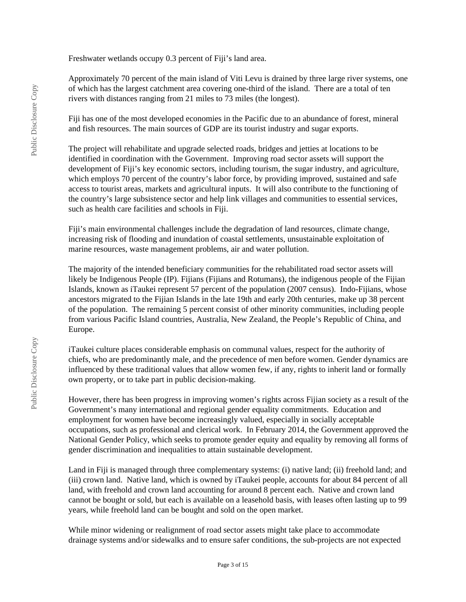Freshwater wetlands occupy 0.3 percent of Fiji's land area.

Approximately 70 percent of the main island of Viti Levu is drained by three large river systems, one of which has the largest catchment area covering one-third of the island. There are a total of ten rivers with distances ranging from 21 miles to 73 miles (the longest).

Fiji has one of the most developed economies in the Pacific due to an abundance of forest, mineral and fish resources. The main sources of GDP are its tourist industry and sugar exports.

The project will rehabilitate and upgrade selected roads, bridges and jetties at locations to be identified in coordination with the Government. Improving road sector assets will support the development of Fiji's key economic sectors, including tourism, the sugar industry, and agriculture, which employs 70 percent of the country's labor force, by providing improved, sustained and safe access to tourist areas, markets and agricultural inputs. It will also contribute to the functioning of the country's large subsistence sector and help link villages and communities to essential services, such as health care facilities and schools in Fiji.

Fiji's main environmental challenges include the degradation of land resources, climate change, increasing risk of flooding and inundation of coastal settlements, unsustainable exploitation of marine resources, waste management problems, air and water pollution.

The majority of the intended beneficiary communities for the rehabilitated road sector assets will likely be Indigenous People (IP). Fijians (Fijians and Rotumans), the indigenous people of the Fijian Islands, known as iTaukei represent 57 percent of the population (2007 census). Indo-Fijians, whose ancestors migrated to the Fijian Islands in the late 19th and early 20th centuries, make up 38 percent of the population. The remaining 5 percent consist of other minority communities, including people from various Pacific Island countries, Australia, New Zealand, the People's Republic of China, and Europe.

iTaukei culture places considerable emphasis on communal values, respect for the authority of chiefs, who are predominantly male, and the precedence of men before women. Gender dynamics are influenced by these traditional values that allow women few, if any, rights to inherit land or formally own property, or to take part in public decision-making.

However, there has been progress in improving women's rights across Fijian society as a result of the Government's many international and regional gender equality commitments. Education and employment for women have become increasingly valued, especially in socially acceptable occupations, such as professional and clerical work. In February 2014, the Government approved the National Gender Policy, which seeks to promote gender equity and equality by removing all forms of gender discrimination and inequalities to attain sustainable development.

Land in Fiji is managed through three complementary systems: (i) native land; (ii) freehold land; and (iii) crown land. Native land, which is owned by iTaukei people, accounts for about 84 percent of all land, with freehold and crown land accounting for around 8 percent each. Native and crown land cannot be bought or sold, but each is available on a leasehold basis, with leases often lasting up to 99 years, while freehold land can be bought and sold on the open market.

While minor widening or realignment of road sector assets might take place to accommodate drainage systems and/or sidewalks and to ensure safer conditions, the sub-projects are not expected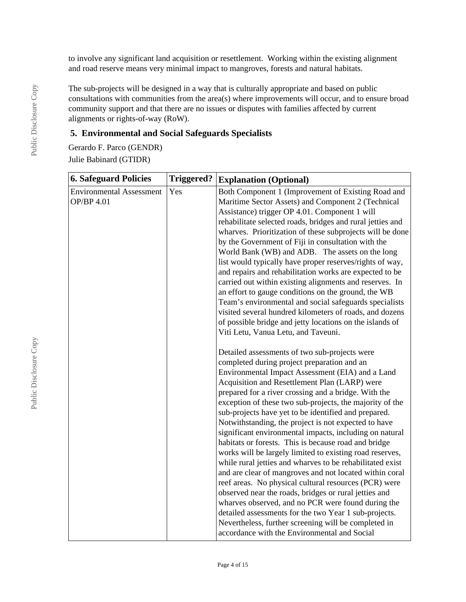to involve any significant land acquisition or resettlement. Working within the existing alignment and road reserve means very minimal impact to mangroves, forests and natural habitats.

The sub-projects will be designed in a way that is culturally appropriate and based on public consultations with communities from the area(s) where improvements will occur, and to ensure broad community support and that there are no issues or disputes with families affected by current alignments or rights-of-way (RoW).

## **5. Environmental and Social Safeguards Specialists**

Gerardo F. Parco (GENDR) Julie Babinard (GTIDR)

| <b>6. Safeguard Policies</b>                  | <b>Triggered?</b> | <b>Explanation (Optional)</b>                                                                                                                                                                                                                                                                                                                                                                                                                                                                                                                                                                                                                                                                                                                                                                                                                                                                                                                                                                                                                                                                                                                                                                                                                                                                                                                                                                                                                                                                                                                                                                                                                                                                                                                                                                                                                   |  |  |
|-----------------------------------------------|-------------------|-------------------------------------------------------------------------------------------------------------------------------------------------------------------------------------------------------------------------------------------------------------------------------------------------------------------------------------------------------------------------------------------------------------------------------------------------------------------------------------------------------------------------------------------------------------------------------------------------------------------------------------------------------------------------------------------------------------------------------------------------------------------------------------------------------------------------------------------------------------------------------------------------------------------------------------------------------------------------------------------------------------------------------------------------------------------------------------------------------------------------------------------------------------------------------------------------------------------------------------------------------------------------------------------------------------------------------------------------------------------------------------------------------------------------------------------------------------------------------------------------------------------------------------------------------------------------------------------------------------------------------------------------------------------------------------------------------------------------------------------------------------------------------------------------------------------------------------------------|--|--|
| <b>Environmental Assessment</b><br>OP/BP 4.01 | Yes               | Both Component 1 (Improvement of Existing Road and<br>Maritime Sector Assets) and Component 2 (Technical<br>Assistance) trigger OP 4.01. Component 1 will<br>rehabilitate selected roads, bridges and rural jetties and<br>wharves. Prioritization of these subprojects will be done<br>by the Government of Fiji in consultation with the<br>World Bank (WB) and ADB. The assets on the long<br>list would typically have proper reserves/rights of way,<br>and repairs and rehabilitation works are expected to be<br>carried out within existing alignments and reserves. In<br>an effort to gauge conditions on the ground, the WB<br>Team's environmental and social safeguards specialists<br>visited several hundred kilometers of roads, and dozens<br>of possible bridge and jetty locations on the islands of<br>Viti Letu, Vanua Letu, and Taveuni.<br>Detailed assessments of two sub-projects were<br>completed during project preparation and an<br>Environmental Impact Assessment (EIA) and a Land<br>Acquisition and Resettlement Plan (LARP) were<br>prepared for a river crossing and a bridge. With the<br>exception of these two sub-projects, the majority of the<br>sub-projects have yet to be identified and prepared.<br>Notwithstanding, the project is not expected to have<br>significant environmental impacts, including on natural<br>habitats or forests. This is because road and bridge<br>works will be largely limited to existing road reserves,<br>while rural jetties and wharves to be rehabilitated exist<br>and are clear of mangroves and not located within coral<br>reef areas. No physical cultural resources (PCR) were<br>observed near the roads, bridges or rural jetties and<br>wharves observed, and no PCR were found during the<br>detailed assessments for the two Year 1 sub-projects. |  |  |
|                                               |                   | Nevertheless, further screening will be completed in<br>accordance with the Environmental and Social                                                                                                                                                                                                                                                                                                                                                                                                                                                                                                                                                                                                                                                                                                                                                                                                                                                                                                                                                                                                                                                                                                                                                                                                                                                                                                                                                                                                                                                                                                                                                                                                                                                                                                                                            |  |  |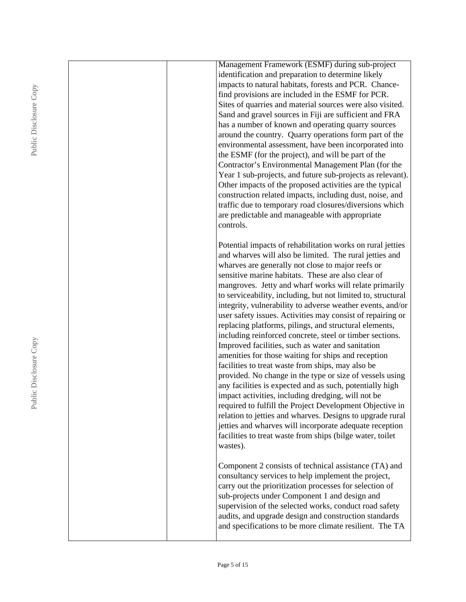|  | Management Framework (ESMF) during sub-project                                                               |
|--|--------------------------------------------------------------------------------------------------------------|
|  | identification and preparation to determine likely                                                           |
|  | impacts to natural habitats, forests and PCR. Chance-                                                        |
|  | find provisions are included in the ESMF for PCR.                                                            |
|  | Sites of quarries and material sources were also visited.                                                    |
|  | Sand and gravel sources in Fiji are sufficient and FRA                                                       |
|  | has a number of known and operating quarry sources                                                           |
|  | around the country. Quarry operations form part of the                                                       |
|  | environmental assessment, have been incorporated into                                                        |
|  | the ESMF (for the project), and will be part of the                                                          |
|  | Contractor's Environmental Management Plan (for the                                                          |
|  | Year 1 sub-projects, and future sub-projects as relevant).                                                   |
|  | Other impacts of the proposed activities are the typical                                                     |
|  | construction related impacts, including dust, noise, and                                                     |
|  | traffic due to temporary road closures/diversions which                                                      |
|  | are predictable and manageable with appropriate                                                              |
|  | controls.                                                                                                    |
|  |                                                                                                              |
|  | Potential impacts of rehabilitation works on rural jetties                                                   |
|  | and wharves will also be limited. The rural jetties and<br>wharves are generally not close to major reefs or |
|  | sensitive marine habitats. These are also clear of                                                           |
|  | mangroves. Jetty and wharf works will relate primarily                                                       |
|  | to serviceability, including, but not limited to, structural                                                 |
|  | integrity, vulnerability to adverse weather events, and/or                                                   |
|  | user safety issues. Activities may consist of repairing or                                                   |
|  | replacing platforms, pilings, and structural elements,                                                       |
|  | including reinforced concrete, steel or timber sections.                                                     |
|  | Improved facilities, such as water and sanitation                                                            |
|  | amenities for those waiting for ships and reception                                                          |
|  | facilities to treat waste from ships, may also be                                                            |
|  | provided. No change in the type or size of vessels using                                                     |
|  | any facilities is expected and as such, potentially high                                                     |
|  | impact activities, including dredging, will not be                                                           |
|  | required to fulfill the Project Development Objective in                                                     |
|  | relation to jetties and wharves. Designs to upgrade rural                                                    |
|  | jetties and wharves will incorporate adequate reception                                                      |
|  | facilities to treat waste from ships (bilge water, toilet                                                    |
|  | wastes).                                                                                                     |
|  |                                                                                                              |
|  | Component 2 consists of technical assistance (TA) and                                                        |
|  | consultancy services to help implement the project,                                                          |
|  | carry out the prioritization processes for selection of<br>sub-projects under Component 1 and design and     |
|  | supervision of the selected works, conduct road safety                                                       |
|  | audits, and upgrade design and construction standards                                                        |
|  | and specifications to be more climate resilient. The TA                                                      |
|  |                                                                                                              |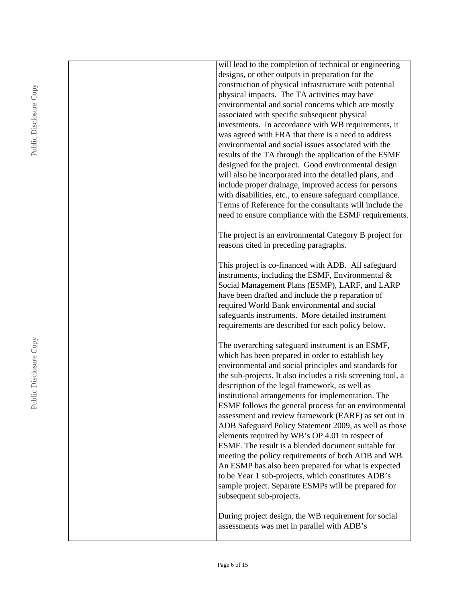| will lead to the completion of technical or engineering     |
|-------------------------------------------------------------|
| designs, or other outputs in preparation for the            |
| construction of physical infrastructure with potential      |
| physical impacts. The TA activities may have                |
| environmental and social concerns which are mostly          |
| associated with specific subsequent physical                |
| investments. In accordance with WB requirements, it         |
| was agreed with FRA that there is a need to address         |
| environmental and social issues associated with the         |
| results of the TA through the application of the ESMF       |
| designed for the project. Good environmental design         |
| will also be incorporated into the detailed plans, and      |
| include proper drainage, improved access for persons        |
| with disabilities, etc., to ensure safeguard compliance.    |
| Terms of Reference for the consultants will include the     |
| need to ensure compliance with the ESMF requirements.       |
| The project is an environmental Category B project for      |
| reasons cited in preceding paragraphs.                      |
|                                                             |
| This project is co-financed with ADB. All safeguard         |
| instruments, including the ESMF, Environmental $\&$         |
| Social Management Plans (ESMP), LARF, and LARP              |
| have been drafted and include the p reparation of           |
| required World Bank environmental and social                |
| safeguards instruments. More detailed instrument            |
| requirements are described for each policy below.           |
| The overarching safeguard instrument is an ESMF,            |
| which has been prepared in order to establish key           |
| environmental and social principles and standards for       |
| the sub-projects. It also includes a risk screening tool, a |
| description of the legal framework, as well as              |
| institutional arrangements for implementation. The          |
| ESMF follows the general process for an environmental       |
| assessment and review framework (EARF) as set out in        |
| ADB Safeguard Policy Statement 2009, as well as those       |
| elements required by WB's OP 4.01 in respect of             |
| ESMF. The result is a blended document suitable for         |
| meeting the policy requirements of both ADB and WB.         |
| An ESMP has also been prepared for what is expected         |
| to be Year 1 sub-projects, which constitutes ADB's          |
| sample project. Separate ESMPs will be prepared for         |
| subsequent sub-projects.                                    |
| During project design, the WB requirement for social        |
| assessments was met in parallel with ADB's                  |
|                                                             |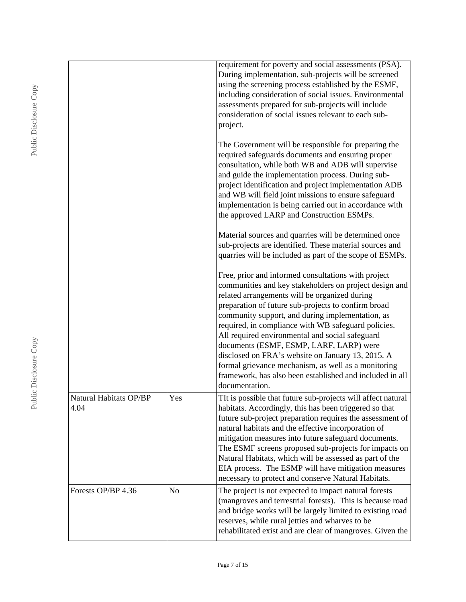|                                |     | requirement for poverty and social assessments (PSA).<br>During implementation, sub-projects will be screened<br>using the screening process established by the ESMF,<br>including consideration of social issues. Environmental<br>assessments prepared for sub-projects will include<br>consideration of social issues relevant to each sub-<br>project.                                                                                                                                                                                                                                                               |
|--------------------------------|-----|--------------------------------------------------------------------------------------------------------------------------------------------------------------------------------------------------------------------------------------------------------------------------------------------------------------------------------------------------------------------------------------------------------------------------------------------------------------------------------------------------------------------------------------------------------------------------------------------------------------------------|
|                                |     | The Government will be responsible for preparing the<br>required safeguards documents and ensuring proper<br>consultation, while both WB and ADB will supervise<br>and guide the implementation process. During sub-<br>project identification and project implementation ADB<br>and WB will field joint missions to ensure safeguard<br>implementation is being carried out in accordance with<br>the approved LARP and Construction ESMPs.                                                                                                                                                                             |
|                                |     | Material sources and quarries will be determined once<br>sub-projects are identified. These material sources and<br>quarries will be included as part of the scope of ESMPs.                                                                                                                                                                                                                                                                                                                                                                                                                                             |
|                                |     | Free, prior and informed consultations with project<br>communities and key stakeholders on project design and<br>related arrangements will be organized during<br>preparation of future sub-projects to confirm broad<br>community support, and during implementation, as<br>required, in compliance with WB safeguard policies.<br>All required environmental and social safeguard<br>documents (ESMF, ESMP, LARF, LARP) were<br>disclosed on FRA's website on January 13, 2015. A<br>formal grievance mechanism, as well as a monitoring<br>framework, has also been established and included in all<br>documentation. |
| Natural Habitats OP/BP<br>4.04 | Yes | TIt is possible that future sub-projects will affect natural<br>habitats. Accordingly, this has been triggered so that<br>future sub-project preparation requires the assessment of<br>natural habitats and the effective incorporation of<br>mitigation measures into future safeguard documents.<br>The ESMF screens proposed sub-projects for impacts on<br>Natural Habitats, which will be assessed as part of the<br>EIA process. The ESMP will have mitigation measures<br>necessary to protect and conserve Natural Habitats.                                                                                     |
| Forests OP/BP 4.36             | No  | The project is not expected to impact natural forests<br>(mangroves and terrestrial forests). This is because road<br>and bridge works will be largely limited to existing road<br>reserves, while rural jetties and wharves to be<br>rehabilitated exist and are clear of mangroves. Given the                                                                                                                                                                                                                                                                                                                          |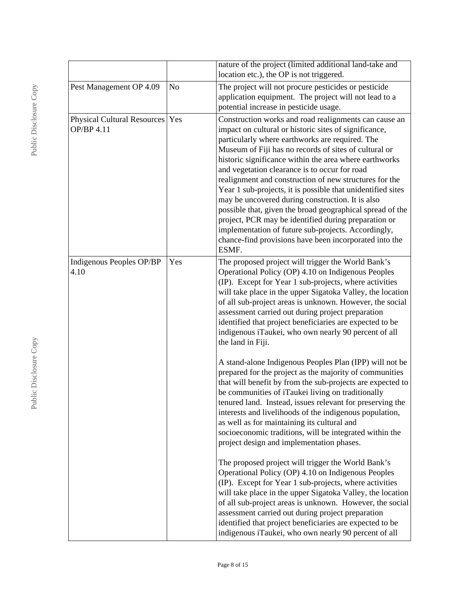|                                                 |                | nature of the project (limited additional land-take and<br>location etc.), the OP is not triggered.                                                                                                                                                                                                                                                                                                                                                                                                                                                                                                                                                                                                                                                               |
|-------------------------------------------------|----------------|-------------------------------------------------------------------------------------------------------------------------------------------------------------------------------------------------------------------------------------------------------------------------------------------------------------------------------------------------------------------------------------------------------------------------------------------------------------------------------------------------------------------------------------------------------------------------------------------------------------------------------------------------------------------------------------------------------------------------------------------------------------------|
| Pest Management OP 4.09                         | N <sub>o</sub> | The project will not procure pesticides or pesticide<br>application equipment. The project will not lead to a<br>potential increase in pesticide usage.                                                                                                                                                                                                                                                                                                                                                                                                                                                                                                                                                                                                           |
| Physical Cultural Resources   Yes<br>OP/BP 4.11 |                | Construction works and road realignments can cause an<br>impact on cultural or historic sites of significance,<br>particularly where earthworks are required. The<br>Museum of Fiji has no records of sites of cultural or<br>historic significance within the area where earthworks<br>and vegetation clearance is to occur for road<br>realignment and construction of new structures for the<br>Year 1 sub-projects, it is possible that unidentified sites<br>may be uncovered during construction. It is also<br>possible that, given the broad geographical spread of the<br>project, PCR may be identified during preparation or<br>implementation of future sub-projects. Accordingly,<br>chance-find provisions have been incorporated into the<br>ESMF. |
| Indigenous Peoples OP/BP<br>4.10                | Yes            | The proposed project will trigger the World Bank's<br>Operational Policy (OP) 4.10 on Indigenous Peoples<br>(IP). Except for Year 1 sub-projects, where activities<br>will take place in the upper Sigatoka Valley, the location<br>of all sub-project areas is unknown. However, the social<br>assessment carried out during project preparation<br>identified that project beneficiaries are expected to be<br>indigenous iTaukei, who own nearly 90 percent of all<br>the land in Fiji.                                                                                                                                                                                                                                                                        |
|                                                 |                | A stand-alone Indigenous Peoples Plan (IPP) will not be<br>prepared for the project as the majority of communities<br>that will benefit by from the sub-projects are expected to<br>be communities of iTaukei living on traditionally<br>tenured land. Instead, issues relevant for preserving the<br>interests and livelihoods of the indigenous population,<br>as well as for maintaining its cultural and<br>socioeconomic traditions, will be integrated within the<br>project design and implementation phases.                                                                                                                                                                                                                                              |
|                                                 |                | The proposed project will trigger the World Bank's<br>Operational Policy (OP) 4.10 on Indigenous Peoples<br>(IP). Except for Year 1 sub-projects, where activities<br>will take place in the upper Sigatoka Valley, the location<br>of all sub-project areas is unknown. However, the social<br>assessment carried out during project preparation<br>identified that project beneficiaries are expected to be<br>indigenous iTaukei, who own nearly 90 percent of all                                                                                                                                                                                                                                                                                             |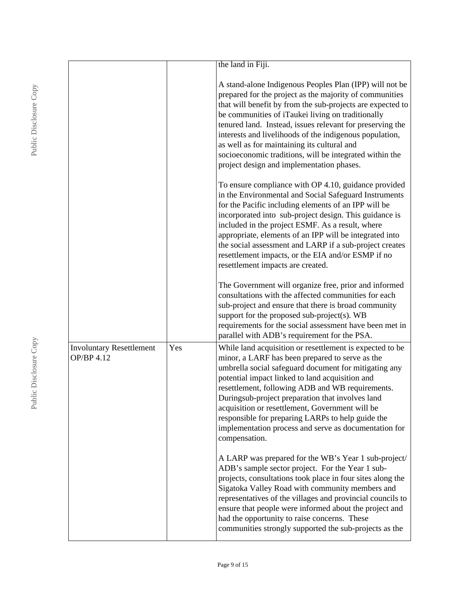|                                               |     | the land in Fiji.                                                                                                                                                                                                                                                                                                                                                                                                                                                                                                    |
|-----------------------------------------------|-----|----------------------------------------------------------------------------------------------------------------------------------------------------------------------------------------------------------------------------------------------------------------------------------------------------------------------------------------------------------------------------------------------------------------------------------------------------------------------------------------------------------------------|
|                                               |     | A stand-alone Indigenous Peoples Plan (IPP) will not be<br>prepared for the project as the majority of communities<br>that will benefit by from the sub-projects are expected to<br>be communities of iTaukei living on traditionally<br>tenured land. Instead, issues relevant for preserving the<br>interests and livelihoods of the indigenous population,<br>as well as for maintaining its cultural and<br>socioeconomic traditions, will be integrated within the<br>project design and implementation phases. |
|                                               |     | To ensure compliance with OP 4.10, guidance provided<br>in the Environmental and Social Safeguard Instruments<br>for the Pacific including elements of an IPP will be<br>incorporated into sub-project design. This guidance is<br>included in the project ESMF. As a result, where<br>appropriate, elements of an IPP will be integrated into<br>the social assessment and LARP if a sub-project creates<br>resettlement impacts, or the EIA and/or ESMP if no<br>resettlement impacts are created.                 |
|                                               |     | The Government will organize free, prior and informed<br>consultations with the affected communities for each<br>sub-project and ensure that there is broad community<br>support for the proposed sub-project(s). WB<br>requirements for the social assessment have been met in<br>parallel with ADB's requirement for the PSA.                                                                                                                                                                                      |
| <b>Involuntary Resettlement</b><br>OP/BP 4.12 | Yes | While land acquisition or resettlement is expected to be<br>minor, a LARF has been prepared to serve as the<br>umbrella social safeguard document for mitigating any<br>potential impact linked to land acquisition and<br>resettlement, following ADB and WB requirements.<br>Duringsub-project preparation that involves land<br>acquisition or resettlement, Government will be<br>responsible for preparing LARPs to help guide the<br>implementation process and serve as documentation for<br>compensation.    |
|                                               |     | A LARP was prepared for the WB's Year 1 sub-project/<br>ADB's sample sector project. For the Year 1 sub-<br>projects, consultations took place in four sites along the<br>Sigatoka Valley Road with community members and<br>representatives of the villages and provincial councils to<br>ensure that people were informed about the project and<br>had the opportunity to raise concerns. These<br>communities strongly supported the sub-projects as the                                                          |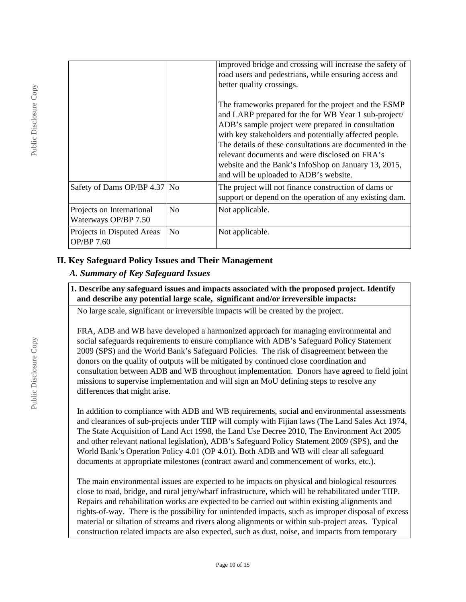|                                                   |                | improved bridge and crossing will increase the safety of<br>road users and pedestrians, while ensuring access and<br>better quality crossings.                                                                                                                                                                                                                                                                                               |
|---------------------------------------------------|----------------|----------------------------------------------------------------------------------------------------------------------------------------------------------------------------------------------------------------------------------------------------------------------------------------------------------------------------------------------------------------------------------------------------------------------------------------------|
|                                                   |                | The frameworks prepared for the project and the ESMP<br>and LARP prepared for the for WB Year 1 sub-project/<br>ADB's sample project were prepared in consultation<br>with key stakeholders and potentially affected people.<br>The details of these consultations are documented in the<br>relevant documents and were disclosed on FRA's<br>website and the Bank's InfoShop on January 13, 2015,<br>and will be uploaded to ADB's website. |
| Safety of Dams OP/BP 4.37 No                      |                | The project will not finance construction of dams or<br>support or depend on the operation of any existing dam.                                                                                                                                                                                                                                                                                                                              |
| Projects on International<br>Waterways OP/BP 7.50 | N <sub>0</sub> | Not applicable.                                                                                                                                                                                                                                                                                                                                                                                                                              |
| Projects in Disputed Areas<br>OP/BP 7.60          | N <sub>0</sub> | Not applicable.                                                                                                                                                                                                                                                                                                                                                                                                                              |

## **II. Key Safeguard Policy Issues and Their Management**

### *A. Summary of Key Safeguard Issues*

#### **1. Describe any safeguard issues and impacts associated with the proposed project. Identify and describe any potential large scale, significant and/or irreversible impacts:**

No large scale, significant or irreversible impacts will be created by the project.

FRA, ADB and WB have developed a harmonized approach for managing environmental and social safeguards requirements to ensure compliance with ADB's Safeguard Policy Statement 2009 (SPS) and the World Bank's Safeguard Policies. The risk of disagreement between the donors on the quality of outputs will be mitigated by continued close coordination and consultation between ADB and WB throughout implementation. Donors have agreed to field joint missions to supervise implementation and will sign an MoU defining steps to resolve any differences that might arise.

In addition to compliance with ADB and WB requirements, social and environmental assessments and clearances of sub-projects under TIIP will comply with Fijian laws (The Land Sales Act 1974, The State Acquisition of Land Act 1998, the Land Use Decree 2010, The Environment Act 2005 and other relevant national legislation), ADB's Safeguard Policy Statement 2009 (SPS), and the World Bank's Operation Policy 4.01 (OP 4.01). Both ADB and WB will clear all safeguard documents at appropriate milestones (contract award and commencement of works, etc.).

The main environmental issues are expected to be impacts on physical and biological resources close to road, bridge, and rural jetty/wharf infrastructure, which will be rehabilitated under TIIP. Repairs and rehabilitation works are expected to be carried out within existing alignments and rights-of-way. There is the possibility for unintended impacts, such as improper disposal of excess material or siltation of streams and rivers along alignments or within sub-project areas. Typical construction related impacts are also expected, such as dust, noise, and impacts from temporary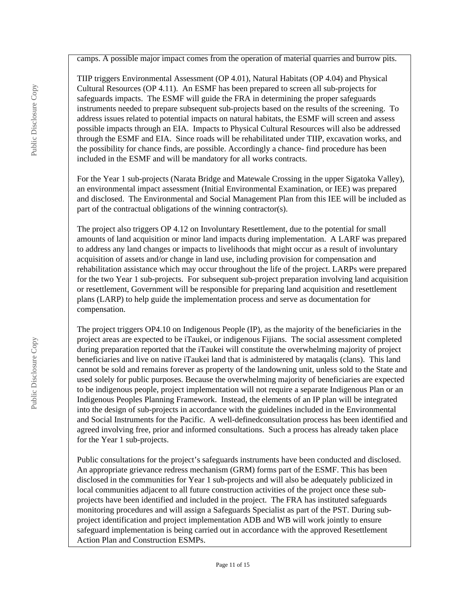camps. A possible major impact comes from the operation of material quarries and burrow pits.

TIIP triggers Environmental Assessment (OP 4.01), Natural Habitats (OP 4.04) and Physical Cultural Resources (OP 4.11). An ESMF has been prepared to screen all sub-projects for safeguards impacts. The ESMF will guide the FRA in determining the proper safeguards instruments needed to prepare subsequent sub-projects based on the results of the screening. To address issues related to potential impacts on natural habitats, the ESMF will screen and assess possible impacts through an EIA. Impacts to Physical Cultural Resources will also be addressed through the ESMF and EIA. Since roads will be rehabilitated under TIIP, excavation works, and the possibility for chance finds, are possible. Accordingly a chance- find procedure has been included in the ESMF and will be mandatory for all works contracts.

For the Year 1 sub-projects (Narata Bridge and Matewale Crossing in the upper Sigatoka Valley), an environmental impact assessment (Initial Environmental Examination, or IEE) was prepared and disclosed. The Environmental and Social Management Plan from this IEE will be included as part of the contractual obligations of the winning contractor(s).

The project also triggers OP 4.12 on Involuntary Resettlement, due to the potential for small amounts of land acquisition or minor land impacts during implementation. A LARF was prepared to address any land changes or impacts to livelihoods that might occur as a result of involuntary acquisition of assets and/or change in land use, including provision for compensation and rehabilitation assistance which may occur throughout the life of the project. LARPs were prepared for the two Year 1 sub-projects. For subsequent sub-project preparation involving land acquisition or resettlement, Government will be responsible for preparing land acquisition and resettlement plans (LARP) to help guide the implementation process and serve as documentation for compensation.

The project triggers OP4.10 on Indigenous People (IP), as the majority of the beneficiaries in the project areas are expected to be iTaukei, or indigenous Fijians. The social assessment completed during preparation reported that the iTaukei will constitute the overwhelming majority of project beneficiaries and live on native iTaukei land that is administered by mataqalis (clans). This land cannot be sold and remains forever as property of the landowning unit, unless sold to the State and used solely for public purposes. Because the overwhelming majority of beneficiaries are expected to be indigenous people, project implementation will not require a separate Indigenous Plan or an Indigenous Peoples Planning Framework. Instead, the elements of an IP plan will be integrated into the design of sub-projects in accordance with the guidelines included in the Environmental and Social Instruments for the Pacific. A well-definedconsultation process has been identified and agreed involving free, prior and informed consultations. Such a process has already taken place for the Year 1 sub-projects.

Public consultations for the project's safeguards instruments have been conducted and disclosed. An appropriate grievance redress mechanism (GRM) forms part of the ESMF. This has been disclosed in the communities for Year 1 sub-projects and will also be adequately publicized in local communities adjacent to all future construction activities of the project once these subprojects have been identified and included in the project. The FRA has instituted safeguards monitoring procedures and will assign a Safeguards Specialist as part of the PST. During subproject identification and project implementation ADB and WB will work jointly to ensure safeguard implementation is being carried out in accordance with the approved Resettlement Action Plan and Construction ESMPs.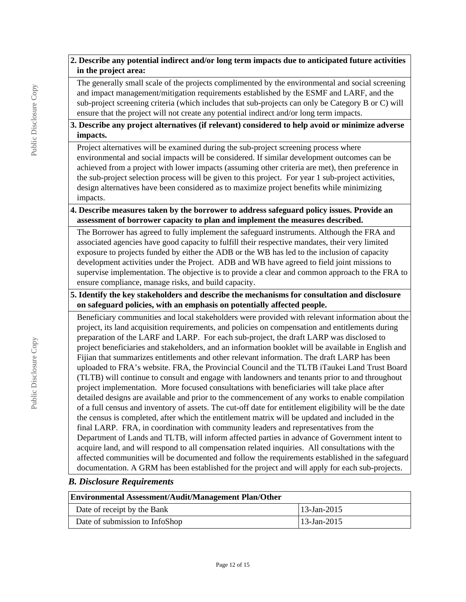#### **2. Describe any potential indirect and/or long term impacts due to anticipated future activities in the project area:**

The generally small scale of the projects complimented by the environmental and social screening and impact management/mitigation requirements established by the ESMF and LARF, and the sub-project screening criteria (which includes that sub-projects can only be Category B or C) will ensure that the project will not create any potential indirect and/or long term impacts.

#### **3. Describe any project alternatives (if relevant) considered to help avoid or minimize adverse impacts.**

Project alternatives will be examined during the sub-project screening process where environmental and social impacts will be considered. If similar development outcomes can be achieved from a project with lower impacts (assuming other criteria are met), then preference in the sub-project selection process will be given to this project. For year 1 sub-project activities, design alternatives have been considered as to maximize project benefits while minimizing impacts.

### **4. Describe measures taken by the borrower to address safeguard policy issues. Provide an assessment of borrower capacity to plan and implement the measures described.**

The Borrower has agreed to fully implement the safeguard instruments. Although the FRA and associated agencies have good capacity to fulfill their respective mandates, their very limited exposure to projects funded by either the ADB or the WB has led to the inclusion of capacity development activities under the Project. ADB and WB have agreed to field joint missions to supervise implementation. The objective is to provide a clear and common approach to the FRA to ensure compliance, manage risks, and build capacity.

### **5. Identify the key stakeholders and describe the mechanisms for consultation and disclosure on safeguard policies, with an emphasis on potentially affected people.**

Beneficiary communities and local stakeholders were provided with relevant information about the project, its land acquisition requirements, and policies on compensation and entitlements during preparation of the LARF and LARP. For each sub-project, the draft LARP was disclosed to project beneficiaries and stakeholders, and an information booklet will be available in English and Fijian that summarizes entitlements and other relevant information. The draft LARP has been uploaded to FRA's website. FRA, the Provincial Council and the TLTB iTaukei Land Trust Board (TLTB) will continue to consult and engage with landowners and tenants prior to and throughout project implementation. More focused consultations with beneficiaries will take place after detailed designs are available and prior to the commencement of any works to enable compilation of a full census and inventory of assets. The cut-off date for entitlement eligibility will be the date the census is completed, after which the entitlement matrix will be updated and included in the final LARP. FRA, in coordination with community leaders and representatives from the Department of Lands and TLTB, will inform affected parties in advance of Government intent to acquire land, and will respond to all compensation related inquiries. All consultations with the affected communities will be documented and follow the requirements established in the safeguard documentation. A GRM has been established for the project and will apply for each sub-projects.

#### *B. Disclosure Requirements*

| <b>Environmental Assessment/Audit/Management Plan/Other</b> |                |  |  |
|-------------------------------------------------------------|----------------|--|--|
| Date of receipt by the Bank                                 | $13$ -Jan-2015 |  |  |
| Date of submission to InfoShop                              | $13$ -Jan-2015 |  |  |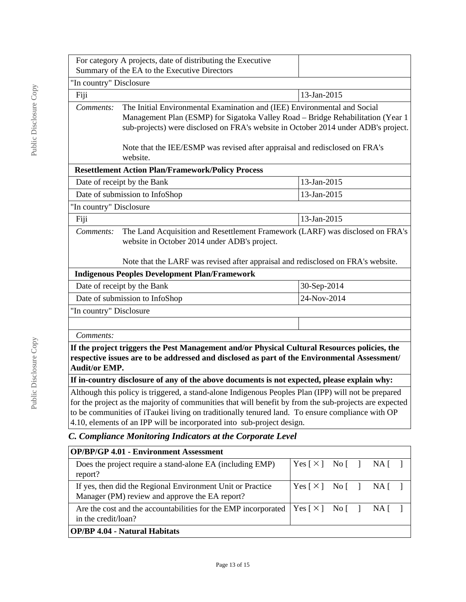|                                               | For category A projects, date of distributing the Executive<br>Summary of the EA to the Executive Directors                                                                                                                                                                                                                                                                                |                                                                            |
|-----------------------------------------------|--------------------------------------------------------------------------------------------------------------------------------------------------------------------------------------------------------------------------------------------------------------------------------------------------------------------------------------------------------------------------------------------|----------------------------------------------------------------------------|
| "In country" Disclosure                       |                                                                                                                                                                                                                                                                                                                                                                                            |                                                                            |
| Fiji                                          |                                                                                                                                                                                                                                                                                                                                                                                            | 13-Jan-2015                                                                |
| Comments:                                     | The Initial Environmental Examination and (IEE) Environmental and Social<br>Management Plan (ESMP) for Sigatoka Valley Road - Bridge Rehabilitation (Year 1<br>sub-projects) were disclosed on FRA's website in October 2014 under ADB's project.<br>Note that the IEE/ESMP was revised after appraisal and redisclosed on FRA's                                                           |                                                                            |
|                                               | website.                                                                                                                                                                                                                                                                                                                                                                                   |                                                                            |
|                                               | <b>Resettlement Action Plan/Framework/Policy Process</b>                                                                                                                                                                                                                                                                                                                                   |                                                                            |
|                                               | Date of receipt by the Bank                                                                                                                                                                                                                                                                                                                                                                | 13-Jan-2015                                                                |
|                                               | Date of submission to InfoShop                                                                                                                                                                                                                                                                                                                                                             | 13-Jan-2015                                                                |
| "In country" Disclosure                       |                                                                                                                                                                                                                                                                                                                                                                                            |                                                                            |
| Fiji                                          |                                                                                                                                                                                                                                                                                                                                                                                            | 13-Jan-2015                                                                |
| Comments:                                     | The Land Acquisition and Resettlement Framework (LARF) was disclosed on FRA's<br>website in October 2014 under ADB's project.<br>Note that the LARF was revised after appraisal and redisclosed on FRA's website.                                                                                                                                                                          |                                                                            |
|                                               | <b>Indigenous Peoples Development Plan/Framework</b>                                                                                                                                                                                                                                                                                                                                       |                                                                            |
|                                               | Date of receipt by the Bank                                                                                                                                                                                                                                                                                                                                                                | 30-Sep-2014                                                                |
| Date of submission to InfoShop<br>24-Nov-2014 |                                                                                                                                                                                                                                                                                                                                                                                            |                                                                            |
| "In country" Disclosure                       |                                                                                                                                                                                                                                                                                                                                                                                            |                                                                            |
|                                               |                                                                                                                                                                                                                                                                                                                                                                                            |                                                                            |
| Comments:                                     |                                                                                                                                                                                                                                                                                                                                                                                            |                                                                            |
| <b>Audit/or EMP.</b>                          | If the project triggers the Pest Management and/or Physical Cultural Resources policies, the<br>respective issues are to be addressed and disclosed as part of the Environmental Assessment/                                                                                                                                                                                               |                                                                            |
|                                               | If in-country disclosure of any of the above documents is not expected, please explain why:                                                                                                                                                                                                                                                                                                |                                                                            |
|                                               | Although this policy is triggered, a stand-alone Indigenous Peoples Plan (IPP) will not be prepared<br>for the project as the majority of communities that will benefit by from the sub-projects are expected<br>to be communities of iTaukei living on traditionally tenured land. To ensure compliance with OP<br>4.10, elements of an IPP will be incorporated into sub-project design. |                                                                            |
|                                               | C. Compliance Monitoring Indicators at the Corporate Level                                                                                                                                                                                                                                                                                                                                 |                                                                            |
|                                               | <b>OP/BP/GP 4.01 - Environment Assessment</b>                                                                                                                                                                                                                                                                                                                                              |                                                                            |
| report?                                       | Does the project require a stand-alone EA (including EMP)                                                                                                                                                                                                                                                                                                                                  | Yes $\lceil \times \rceil$<br>No [<br>$NA \Gamma$<br>-1<br>$\mathbf{I}$    |
|                                               | If yes, then did the Regional Environment Unit or Practice<br>Manager (PM) review and approve the EA report?                                                                                                                                                                                                                                                                               | Yes $\lceil \times \rceil$<br>No [<br>$\mathbf{1}$<br>NA [<br>$\mathbf{I}$ |

## **OP/BP 4.04 - Natural Habitats**

in the credit/loan?

Are the cost and the accountabilities for the EMP incorporated

 $\boxed{\text{Yes} [\times] \quad \text{No} [\quad]} \quad \text{NA} [\quad]$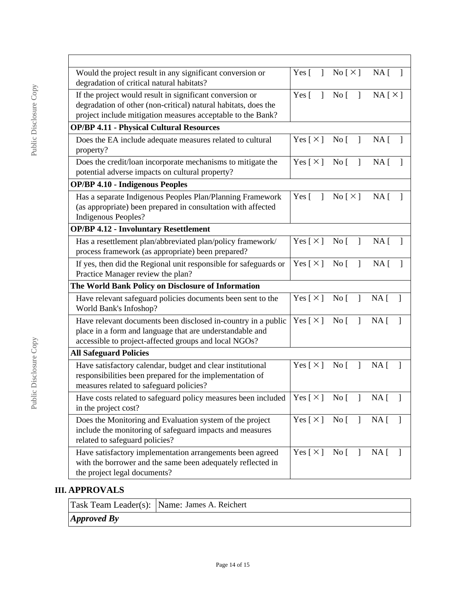| Would the project result in any significant conversion or<br>degradation of critical natural habitats?                                                                                                                                  |                              | Yes $[ ]$ No $[ \times ]$ NA $[ ]$ |                                 |
|-----------------------------------------------------------------------------------------------------------------------------------------------------------------------------------------------------------------------------------------|------------------------------|------------------------------------|---------------------------------|
| If the project would result in significant conversion or<br>degradation of other (non-critical) natural habitats, does the<br>project include mitigation measures acceptable to the Bank?                                               | $Yes \lceil$<br>$\mathbf{I}$ | No [                               | NA[X]                           |
| <b>OP/BP 4.11 - Physical Cultural Resources</b>                                                                                                                                                                                         |                              |                                    |                                 |
| Does the EA include adequate measures related to cultural<br>property?                                                                                                                                                                  | Yes [ $\times$ ]             | No <sub>1</sub><br>$\mathbf{I}$    | $NA$ [                          |
| Does the credit/loan incorporate mechanisms to mitigate the<br>potential adverse impacts on cultural property?                                                                                                                          | Yes [ $\times$ ]             | No [<br>$\mathbf{I}$               | NA <sub>[</sub> ]               |
| <b>OP/BP 4.10 - Indigenous Peoples</b>                                                                                                                                                                                                  |                              |                                    |                                 |
| Has a separate Indigenous Peoples Plan/Planning Framework<br>(as appropriate) been prepared in consultation with affected<br><b>Indigenous Peoples?</b>                                                                                 | Yes $\lceil$<br>$\mathbf{1}$ | No [ $\times$ ]                    | NA [                            |
| <b>OP/BP 4.12 - Involuntary Resettlement</b>                                                                                                                                                                                            |                              |                                    |                                 |
| Has a resettlement plan/abbreviated plan/policy framework/<br>process framework (as appropriate) been prepared?                                                                                                                         | Yes $[\times]$ No $[\ ]$     |                                    | NA [                            |
| If yes, then did the Regional unit responsible for safeguards or<br>Practice Manager review the plan?                                                                                                                                   | Yes $[X]$ No $[$ ]           |                                    | $NA \,$ [                       |
| The World Bank Policy on Disclosure of Information                                                                                                                                                                                      |                              |                                    |                                 |
| Have relevant safeguard policies documents been sent to the<br>World Bank's Infoshop?                                                                                                                                                   | Yes $[\times]$               | No [<br>$\mathbf{I}$               | $NA$ [ ]                        |
| Have relevant documents been disclosed in-country in a public<br>place in a form and language that are understandable and<br>accessible to project-affected groups and local NGOs?                                                      | Yes [ $\times$ ]             | $\rm No~[$<br>$\overline{1}$       | NA [<br>1                       |
| <b>All Safeguard Policies</b>                                                                                                                                                                                                           |                              |                                    |                                 |
| Have satisfactory calendar, budget and clear institutional<br>responsibilities been prepared for the implementation of<br>measures related to safeguard policies?                                                                       | Yes $[\times]$               | No [                               | NA <sub>1</sub><br>$\mathbf{1}$ |
| Have costs related to safeguard policy measures been included $\begin{bmatrix} \text{Yes} \end{bmatrix} \times \begin{bmatrix} \text{No} \end{bmatrix}$ No $\begin{bmatrix} \text{I} & \text{NA} \end{bmatrix}$<br>in the project cost? |                              |                                    |                                 |
| Does the Monitoring and Evaluation system of the project<br>include the monitoring of safeguard impacts and measures<br>related to safeguard policies?                                                                                  | Yes $\lceil \times \rceil$   | $\overline{N_0}$                   | $NA$ [ ]                        |
| Have satisfactory implementation arrangements been agreed<br>with the borrower and the same been adequately reflected in<br>the project legal documents?                                                                                | Yes $\lceil \times \rceil$   | No [                               | $NA$ [ ]                        |

# **III. APPROVALS**

Task Team Leader(s): Name: James A. Reichert

*Approved By*